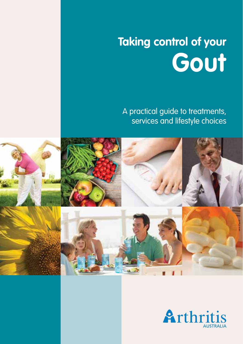# **Taking control of your Gout**

A practical guide to treatments, services and lifestyle choices



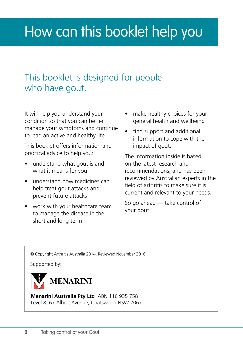# How can this booklet help you

# This booklet is designed for people who have gout.

It will help you understand your condition so that you can better manage your symptoms and continue to lead an active and healthy life.

This booklet offers information and practical advice to help you:

- understand what gout is and what it means for you
- understand how medicines can help treat gout attacks and prevent future attacks
- work with your healthcare team to manage the disease in the short and long term
- make healthy choices for your general health and wellbeing
- find support and additional information to cope with the impact of gout.

The information inside is based on the latest research and recommendations, and has been reviewed by Australian experts in the field of arthritis to make sure it is current and relevant to your needs.

So go ahead — take control of your gout!

© Copyright Arthritis Australia 2014. Reviewed November 2016.

Supported by:



**Menarini Australia Pty Ltd** ABN 116 935 758 Level 8, 67 Albert Avenue, Chatswood NSW 2067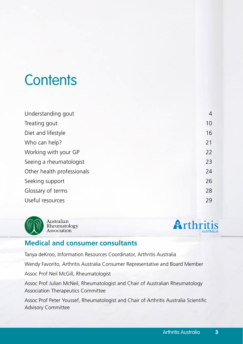# **Contents**

| Understanding gout         | 4  |
|----------------------------|----|
| Treating gout              | 10 |
| Diet and lifestyle         | 16 |
| Who can help?              | 21 |
| Working with your GP       | 22 |
| Seeing a rheumatologist    | 23 |
| Other health professionals | 24 |
| Seeking support            | 26 |
| Glossary of terms          | 28 |
| Useful resources           | 29 |
|                            |    |



Australian<br>Rheumatology<br>Association



#### **Medical and consumer consultants**

Tanya deKroo, Information Resources Coordinator, Arthritis Australia

Wendy Favorito, Arthritis Australia Consumer Representative and Board Member

Assoc Prof Neil McGill, Rheumatologist

Assoc Prof Julian McNeil, Rheumatologist and Chair of Australian Rheumatology Association Therapeutics Committee

Assoc Prof Peter Youssef, Rheumatologist and Chair of Arthritis Australia Scientific Advisory Committee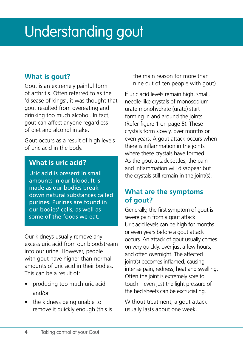# Understanding gout

#### **What is gout?**

Gout is an extremely painful form of arthritis. Often referred to as the 'disease of kings', it was thought that gout resulted from overeating and drinking too much alcohol. In fact, gout can affect anyone regardless of diet and alcohol intake.

Gout occurs as a result of high levels of uric acid in the body.

#### **What is uric acid?**

Uric acid is present in small amounts in our blood. It is made as our bodies break down natural substances called purines. Purines are found in our bodies' cells, as well as some of the foods we eat.

Our kidneys usually remove any excess uric acid from our bloodstream into our urine. However, people with gout have higher-than-normal amounts of uric acid in their bodies. This can be a result of:

- producing too much uric acid and/or
- the kidneys being unable to remove it quickly enough (this is

the main reason for more than nine out of ten people with gout).

If uric acid levels remain high, small, needle-like crystals of monosodium urate monohydrate (urate) start forming in and around the joints (Refer figure 1 on page 5). These crystals form slowly, over months or even years. A gout attack occurs when there is inflammation in the joints where these crystals have formed. As the gout attack settles, the pain and inflammation will disappear but the crystals still remain in the joint(s).

### **What are the symptoms of gout?**

Generally, the first symptom of gout is severe pain from a gout attack. Uric acid levels can be high for months or even years before a gout attack occurs. An attack of gout usually comes on very quickly, over just a few hours, and often overnight. The affected joint(s) becomes inflamed, causing intense pain, redness, heat and swelling. Often the joint is extremely sore to touch – even just the light pressure of the bed sheets can be excruciating.

Without treatment, a gout attack usually lasts about one week.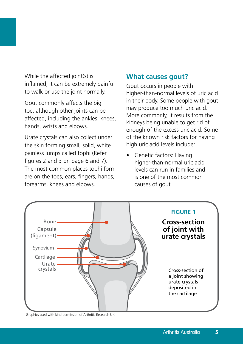While the affected joint(s) is inflamed, it can be extremely painful to walk or use the joint normally.

Gout commonly affects the big toe, although other joints can be affected, including the ankles, knees, hands, wrists and elbows.

Urate crystals can also collect under the skin forming small, solid, white painless lumps called tophi (Refer figures 2 and 3 on page 6 and 7). The most common places tophi form are on the toes, ears, fingers, hands, forearms, knees and elbows.

#### **What causes gout?**

Gout occurs in people with higher-than-normal levels of uric acid in their body. Some people with gout may produce too much uric acid. More commonly, it results from the kidneys being unable to get rid of enough of the excess uric acid. Some of the known risk factors for having high uric acid levels include:

• Genetic factors: Having higher-than-normal uric acid levels can run in families and is one of the most common causes of gout



Graphics used with kind permission of Arthritis Research UK.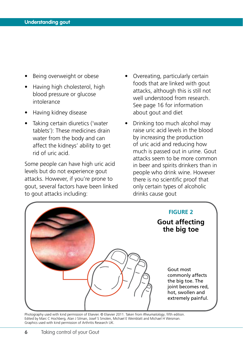- Being overweight or obese
- Having high cholesterol, high blood pressure or glucose intolerance
- Having kidney disease
- Taking certain diuretics ('water tablets'): These medicines drain water from the body and can affect the kidneys' ability to get rid of uric acid.

Some people can have high uric acid levels but do not experience gout attacks. However, if you're prone to gout, several factors have been linked to gout attacks including:

- Overeating, particularly certain foods that are linked with gout attacks, although this is still not well understood from research. See page 16 for information about gout and diet
- Drinking too much alcohol may raise uric acid levels in the blood by increasing the production of uric acid and reducing how much is passed out in urine. Gout attacks seem to be more common in beer and spirits drinkers than in people who drink wine. However there is no scientific proof that only certain types of alcoholic drinks cause gout



Photography used with kind permission of Elsevier. © Elsevier 2011. Taken from *Rheumatology*, fifth edition. Edited by Marc C Hochberg, Alan J Silman, Josef S Smolen, Michael E Weinblatt and Michael H Weisman. Edited by Marc C Hochberg, Alan J Silman, Josef S Smolen, Michael E Weinblatt and Michael H Weisman. Graphics used with kind permission of Arthritis Research UK.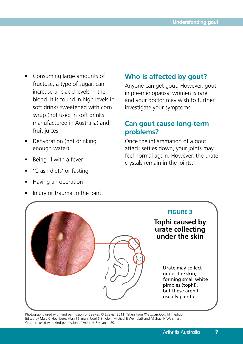- Consuming large amounts of fructose, a type of sugar, can increase uric acid levels in the blood. It is found in high levels in soft drinks sweetened with corn syrup (not used in soft drinks manufactured in Australia) and fruit juices
- Dehydration (not drinking enough water)
- Being ill with a fever<br>Edition and Michael Englished School and Michael Englished School in the Michael H Weisman School H Weisman.
- 'Crash diets' or fasting
- Having an operation
- Injury or trauma to the joint.

# **Who is affected by gout?**

Anyone can get gout. However, gout in pre-menopausal women is rare and your doctor may wish to further investigate your symptoms.

#### **Can gout cause long-term problems?** se iong-term

.<br>Once the inflammation of a gout attack settles down, your joints may Feel normal again. However, the urate permission of Elsevier. <sup>Bern</sup>e 2011. Taken from crystals remain in the joints.



Photography used with kind permission of Elsevier. © Elsevier 2011. Taken from *Rheumatology,* fifth edition.<br>Edited by Marc C Hochberg, Alan J Silman, Josef S Smolen, Michael E Weinblatt and Michael H Weisman. Graphics used with kind permission of Arthritis Research UK.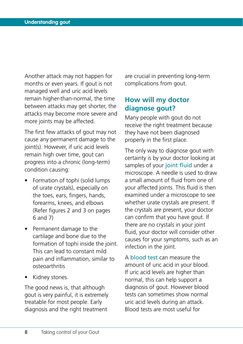Another attack may not happen for months or even years. If gout is not managed well and uric acid levels remain higher-than-normal, the time between attacks may get shorter, the attacks may become more severe and more joints may be affected.

The first few attacks of gout may not cause any permanent damage to the joint(s). However, if uric acid levels remain high over time, gout can progress into a chronic (long-term) condition causing:

- Formation of tophi (solid lumps of urate crystals), especially on the toes, ears, fingers, hands, forearms, knees, and elbows (Refer figures 2 and 3 on pages 6 and 7)
- Permanent damage to the cartilage and bone due to the formation of tophi inside the joint. This can lead to constant mild pain and inflammation, similar to osteoarthritis
- Kidney stones.

The good news is, that although gout is very painful, it is extremely treatable for most people. Early diagnosis and the right treatment

are crucial in preventing long-term complications from gout.

#### **How will my doctor diagnose gout?**

Many people with gout do not receive the right treatment because they have not been diagnosed properly in the first place.

The only way to diagnose gout with certainty is by your doctor looking at samples of your joint fluid under a microscope. A needle is used to draw a small amount of fluid from one of your affected joints. This fluid is then examined under a microscope to see whether urate crystals are present. If the crystals are present, your doctor can confirm that you have gout. If there are no crystals in your joint fluid, your doctor will consider other causes for your symptoms, such as an infection in the joint.

A blood test can measure the amount of uric acid in your blood. If uric acid levels are higher than normal, this can help support a diagnosis of gout. However blood tests can sometimes show normal uric acid levels during an attack. Blood tests are most useful for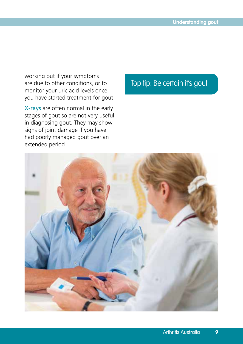working out if your symptoms are due to other conditions, or to monitor your uric acid levels once you have started treatment for gout.

X-rays are often normal in the early stages of gout so are not very useful in diagnosing gout. They may show signs of joint damage if you have had poorly managed gout over an extended period.

# Top tip: Be certain it's gout

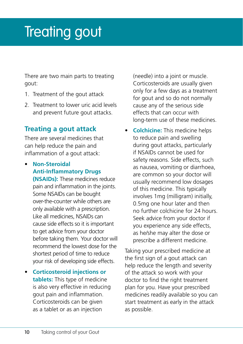# Treating gout

There are two main parts to treating gout:

- 1. Treatment of the gout attack
- 2. Treatment to lower uric acid levels and prevent future gout attacks.

### **Treating a gout attack**

There are several medicines that can help reduce the pain and inflammation of a gout attack:

- **Non-Steroidal Anti-Inflammatory Drugs (NSAIDs):** These medicines reduce pain and inflammation in the joints. Some NSAIDs can be bought over-the-counter while others are only available with a prescription. Like all medicines, NSAIDs can cause side effects so it is important to get advice from your doctor before taking them. Your doctor will recommend the lowest dose for the shortest period of time to reduce your risk of developing side effects.
- **Corticosteroid injections or tablets:** This type of medicine is also very effective in reducing gout pain and inflammation. Corticosteroids can be given as a tablet or as an injection

(needle) into a joint or muscle. Corticosteroids are usually given only for a few days as a treatment for gout and so do not normally cause any of the serious side effects that can occur with long-term use of these medicines.

• **Colchicine:** This medicine helps to reduce pain and swelling during gout attacks, particularly if NSAIDs cannot be used for safety reasons. Side effects, such as nausea, vomiting or diarrhoea, are common so your doctor will usually recommend low dosages of this medicine. This typically involves 1mg (milligram) initially, 0.5mg one hour later and then no further colchicine for 24 hours. Seek advice from your doctor if you experience any side effects, as he/she may alter the dose or prescribe a different medicine.

Taking your prescribed medicine at the first sign of a gout attack can help reduce the length and severity of the attack so work with your doctor to find the right treatment plan for you. Have your prescribed medicines readily available so you can start treatment as early in the attack as possible.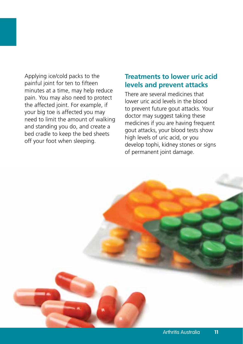Applying ice/cold packs to the painful joint for ten to fifteen minutes at a time, may help reduce pain. You may also need to protect the affected joint. For example, if your big toe is affected you may need to limit the amount of walking and standing you do, and create a bed cradle to keep the bed sheets off your foot when sleeping.

#### **Treatments to lower uric acid levels and prevent attacks**

There are several medicines that lower uric acid levels in the blood to prevent future gout attacks. Your doctor may suggest taking these medicines if you are having frequent gout attacks, your blood tests show high levels of uric acid, or you develop tophi, kidney stones or signs of permanent joint damage.

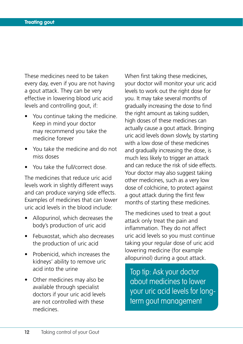These medicines need to be taken every day, even if you are not having a gout attack. They can be very effective in lowering blood uric acid levels and controlling gout, if:

- You continue taking the medicine. Keep in mind your doctor may recommend you take the medicine forever
- You take the medicine and do not miss doses
- You take the full/correct dose.

The medicines that reduce uric acid levels work in slightly different ways and can produce varying side effects. Examples of medicines that can lower uric acid levels in the blood include:

- Allopurinol, which decreases the body's production of uric acid
- Febuxostat, which also decreases the production of uric acid
- Probenicid, which increases the kidneys' ability to remove uric acid into the urine
- Other medicines may also be available through specialist doctors if your uric acid levels are not controlled with these medicines.

When first taking these medicines, your doctor will monitor your uric acid levels to work out the right dose for you. It may take several months of gradually increasing the dose to find the right amount as taking sudden, high doses of these medicines can actually cause a gout attack. Bringing uric acid levels down slowly, by starting with a low dose of these medicines and gradually increasing the dose, is much less likely to trigger an attack and can reduce the risk of side effects. Your doctor may also suggest taking other medicines, such as a very low dose of colchicine, to protect against a gout attack during the first few months of starting these medicines.

The medicines used to treat a gout attack only treat the pain and inflammation. They do not affect uric acid levels so you must continue taking your regular dose of uric acid lowering medicine (for example allopurinol) during a gout attack.

Top tip: Ask your doctor about medicines to lower your uric acid levels for longterm gout management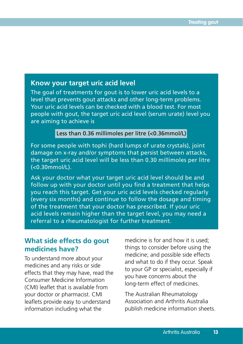#### **Know your target uric acid level**

The goal of treatments for gout is to lower uric acid levels to a level that prevents gout attacks and other long-term problems. Your uric acid levels can be checked with a blood test. For most people with gout, the target uric acid level (serum urate) level you are aiming to achieve is

#### Less than 0.36 millimoles per litre (<0.36mmol/L)

For some people with tophi (hard lumps of urate crystals), joint damage on x-ray and/or symptoms that persist between attacks, the target uric acid level will be less than 0.30 millimoles per litre (<0.30mmol/L).

Ask your doctor what your target uric acid level should be and follow up with your doctor until you find a treatment that helps you reach this target. Get your uric acid levels checked regularly (every six months) and continue to follow the dosage and timing of the treatment that your doctor has prescribed. If your uric acid levels remain higher than the target level, you may need a referral to a rheumatologist for further treatment.

#### **What side effects do gout medicines have?**

To understand more about your medicines and any risks or side effects that they may have, read the Consumer Medicine Information (CMI) leaflet that is available from your doctor or pharmacist. CMI leaflets provide easy to understand information including what the

medicine is for and how it is used; things to consider before using the medicine; and possible side effects and what to do if they occur. Speak to your GP or specialist, especially if you have concerns about the long-term effect of medicines.

The Australian Rheumatology Association and Arthritis Australia publish medicine information sheets.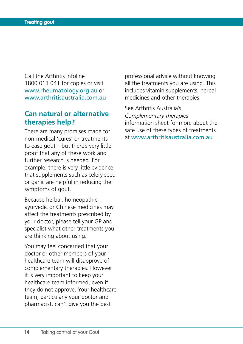Call the Arthritis Infoline 1800 011 041 for copies or visit www.rheumatology.org.au or www.arthritisaustralia.com.au

#### **Can natural or alternative therapies help?**

There are many promises made for non-medical 'cures' or treatments to ease gout – but there's very little proof that any of these work and further research is needed. For example, there is very little evidence that supplements such as celery seed or garlic are helpful in reducing the symptoms of gout.

Because herbal, homeopathic, ayurvedic or Chinese medicines may affect the treatments prescribed by your doctor, please tell your GP and specialist what other treatments you are thinking about using.

You may feel concerned that your doctor or other members of your healthcare team will disapprove of complementary therapies. However it is very important to keep your healthcare team informed, even if they do not approve. Your healthcare team, particularly your doctor and pharmacist, can't give you the best

professional advice without knowing all the treatments you are using. This includes vitamin supplements, herbal medicines and other therapies.

See Arthritis Australia's *Complementary therapies* information sheet for more about the safe use of these types of treatments at www.arthritisaustralia.com.au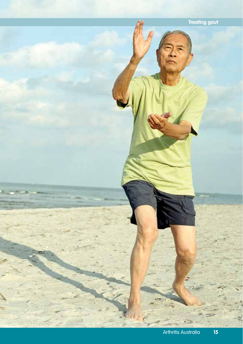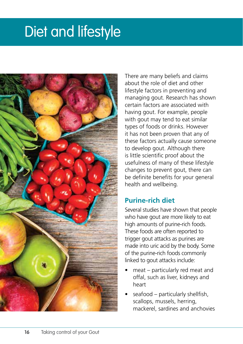# Diet and lifestyle



There are many beliefs and claims about the role of diet and other lifestyle factors in preventing and managing gout. Research has shown certain factors are associated with having gout. For example, people with gout may tend to eat similar types of foods or drinks. However it has not been proven that any of these factors actually cause someone to develop gout. Although there is little scientific proof about the usefulness of many of these lifestyle changes to prevent gout, there can be definite benefits for your general health and wellbeing.

#### **Purine-rich diet**

Several studies have shown that people who have gout are more likely to eat high amounts of purine-rich foods. These foods are often reported to trigger gout attacks as purines are made into uric acid by the body. Some of the purine-rich foods commonly linked to gout attacks include:

- meat particularly red meat and offal, such as liver, kidneys and heart
- seafood particularly shellfish, scallops, mussels, herring, mackerel, sardines and anchovies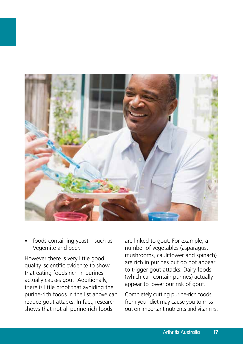

foods containing yeast – such as Vegemite and beer.

However there is very little good quality, scientific evidence to show that eating foods rich in purines actually causes gout. Additionally, there is little proof that avoiding the purine-rich foods in the list above can reduce gout attacks. In fact, research shows that not all purine-rich foods

are linked to gout. For example, a number of vegetables (asparagus, mushrooms, cauliflower and spinach) are rich in purines but do not appear to trigger gout attacks. Dairy foods (which can contain purines) actually appear to lower our risk of gout.

Completely cutting purine-rich foods from your diet may cause you to miss out on important nutrients and vitamins.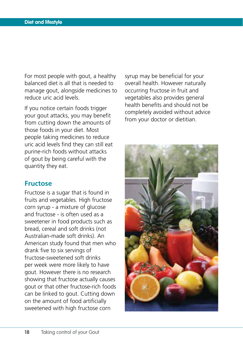For most people with gout, a healthy balanced diet is all that is needed to manage gout, alongside medicines to reduce uric acid levels.

If you notice certain foods trigger your gout attacks, you may benefit from cutting down the amounts of those foods in your diet. Most people taking medicines to reduce uric acid levels find they can still eat purine-rich foods without attacks of gout by being careful with the quantity they eat.

#### **Fructose**

Fructose is a sugar that is found in fruits and vegetables. High fructose corn syrup - a mixture of glucose and fructose - is often used as a sweetener in food products such as bread, cereal and soft drinks (not Australian-made soft drinks). An American study found that men who drank five to six servings of fructose-sweetened soft drinks per week were more likely to have gout. However there is no research showing that fructose actually causes gout or that other fructose-rich foods can be linked to gout. Cutting down on the amount of food artificially sweetened with high fructose corn

syrup may be beneficial for your overall health. However naturally occurring fructose in fruit and vegetables also provides general health benefits and should not be completely avoided without advice from your doctor or dietitian.

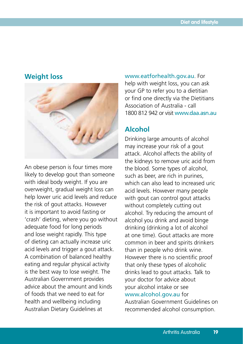#### **Weight loss**



An obese person is four times more likely to develop gout than someone with ideal body weight. If you are overweight, gradual weight loss can help lower uric acid levels and reduce the risk of gout attacks. However it is important to avoid fasting or 'crash' dieting, where you go without adequate food for long periods and lose weight rapidly. This type of dieting can actually increase uric acid levels and trigger a gout attack. A combination of balanced healthy eating and regular physical activity is the best way to lose weight. The Australian Government provides advice about the amount and kinds of foods that we need to eat for health and wellbeing including Australian Dietary Guidelines at

www.eatforhealth.gov.au. For help with weight loss, you can ask your GP to refer you to a dietitian or find one directly via the Dietitians Association of Australia - call 1800 812 942 or visit www.daa.asn.au

#### **Alcohol**

Drinking large amounts of alcohol may increase your risk of a gout attack. Alcohol affects the ability of the kidneys to remove uric acid from the blood. Some types of alcohol, such as beer, are rich in purines, which can also lead to increased uric acid levels. However many people with gout can control gout attacks without completely cutting out alcohol. Try reducing the amount of alcohol you drink and avoid binge drinking (drinking a lot of alcohol at one time). Gout attacks are more common in beer and spirits drinkers than in people who drink wine. However there is no scientific proof that only these types of alcoholic drinks lead to gout attacks. Talk to your doctor for advice about your alcohol intake or see www.alcohol.gov.au for Australian Government Guidelines on recommended alcohol consumption.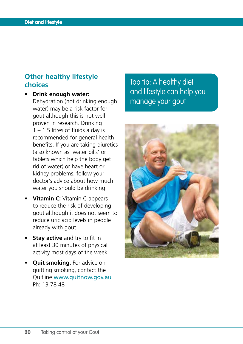#### **Other healthy lifestyle choices**

• **Drink enough water:** Dehydration (not drinking enough water) may be a risk factor for gout although this is not well proven in research. Drinking  $1 - 1.5$  litres of fluids a day is recommended for general health benefits. If you are taking diuretics (also known as 'water pills' or tablets which help the body get rid of water) or have heart or kidney problems, follow your doctor's advice about how much water you should be drinking.

- **Vitamin C:** Vitamin C appears to reduce the risk of developing gout although it does not seem to reduce uric acid levels in people already with gout.
- **Stay active** and try to fit in at least 30 minutes of physical activity most days of the week.
- **Ouit smoking.** For advice on quitting smoking, contact the Quitline www.quitnow.gov.au Ph: 13 78 48

Top tip: A healthy diet and lifestyle can help you manage your gout

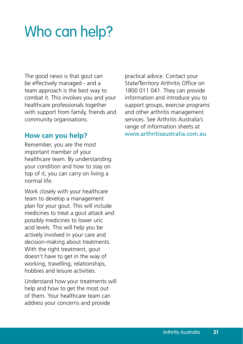# Who can help?

The good news is that gout can be effectively managed - and a team approach is the best way to combat it. This involves you and your healthcare professionals together with support from family, friends and community organisations.

#### **How can you help?**

Remember, you are the most important member of your healthcare team. By understanding your condition and how to stay on top of it, you can carry on living a normal life.

Work closely with your healthcare team to develop a management plan for your gout. This will include medicines to treat a gout attack and possibly medicines to lower uric acid levels. This will help you be actively involved in your care and decision-making about treatments. With the right treatment, gout doesn't have to get in the way of working, travelling, relationships, hobbies and leisure activities.

Understand how your treatments will help and how to get the most out of them. Your healthcare team can address your concerns and provide

practical advice. Contact your State/Territory Arthritis Office on 1800 011 041. They can provide information and introduce you to support groups, exercise programs and other arthritis management services. See Arthritis Australia's range of information sheets at www.arthritisaustralia.com.au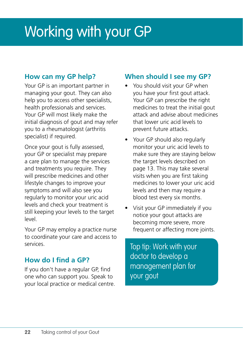# Working with your GP

### **How can my GP help?**

Your GP is an important partner in managing your gout. They can also help you to access other specialists, health professionals and services. Your GP will most likely make the initial diagnosis of gout and may refer you to a rheumatologist (arthritis specialist) if required.

Once your gout is fully assessed, your GP or specialist may prepare a care plan to manage the services and treatments you require. They will prescribe medicines and other lifestyle changes to improve your symptoms and will also see you regularly to monitor your uric acid levels and check your treatment is still keeping your levels to the target level.

Your GP may employ a practice nurse to coordinate your care and access to services.

### **How do I find a GP?**

If you don't have a regular GP, find one who can support you. Speak to your local practice or medical centre.

### **When should I see my GP?**

- You should visit your GP when you have your first gout attack. Your GP can prescribe the right medicines to treat the initial gout attack and advise about medicines that lower uric acid levels to prevent future attacks.
- Your GP should also regularly monitor your uric acid levels to make sure they are staying below the target levels described on page 13. This may take several visits when you are first taking medicines to lower your uric acid levels and then may require a blood test every six months.
- Visit your GP immediately if you notice your gout attacks are becoming more severe, more frequent or affecting more joints.

Top tip: Work with your doctor to develop a management plan for your gout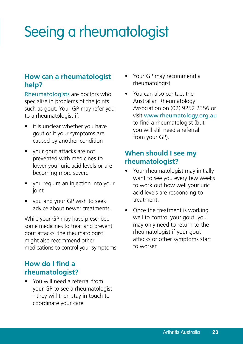# Seeing a rheumatologist

#### **How can a rheumatologist help?**

Rheumatologists are doctors who specialise in problems of the joints such as gout. Your GP may refer you to a rheumatologist if:

- it is unclear whether you have gout or if your symptoms are caused by another condition
- your gout attacks are not prevented with medicines to lower your uric acid levels or are becoming more severe
- you require an injection into your joint
- you and your GP wish to seek advice about newer treatments.

While your GP may have prescribed some medicines to treat and prevent gout attacks, the rheumatologist might also recommend other medications to control your symptoms.

### **How do I find a rheumatologist?**

• You will need a referral from your GP to see a rheumatologist - they will then stay in touch to coordinate your care

- Your GP may recommend a rheumatologist
- You can also contact the Australian Rheumatology Association on (02) 9252 2356 or visit www.rheumatology.org.au to find a rheumatologist (but you will still need a referral from your GP).

#### **When should I see my rheumatologist?**

- Your rheumatologist may initially want to see you every few weeks to work out how well your uric acid levels are responding to treatment.
- Once the treatment is working well to control your gout, you may only need to return to the rheumatologist if your gout attacks or other symptoms start to worsen.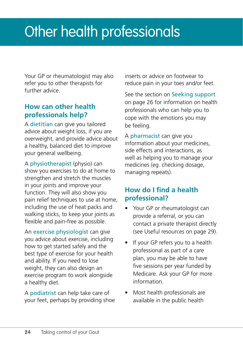# Other health professionals

Your GP or rheumatologist may also refer you to other therapists for further advice.

#### **How can other health professionals help?**

A dietitian can give you tailored advice about weight loss, if you are overweight, and provide advice about a healthy, balanced diet to improve your general wellbeing.

A physiotherapist (physio) can show you exercises to do at home to strengthen and stretch the muscles in your joints and improve your function. They will also show you pain relief techniques to use at home, including the use of heat packs and walking sticks, to keep your joints as flexible and pain-free as possible.

An exercise physiologist can give you advice about exercise, including how to get started safely and the best type of exercise for your health and ability. If you need to lose weight, they can also design an exercise program to work alongside a healthy diet.

A podiatrist can help take care of your feet, perhaps by providing shoe inserts or advice on footwear to reduce pain in your toes and/or feet.

See the section on Seeking support on page 26 for information on health professionals who can help you to cope with the emotions you may be feeling.

A pharmacist can give you information about your medicines, side effects and interactions, as well as helping you to manage your medicines (eg. checking dosage, managing repeats).

#### **How do I find a health professional?**

- Your GP or rheumatologist can provide a referral, or you can contact a private therapist directly (see Useful resources on page 29).
- If your GP refers you to a health professional as part of a care plan, you may be able to have five sessions per year funded by Medicare. Ask your GP for more information.
- Most health professionals are available in the public health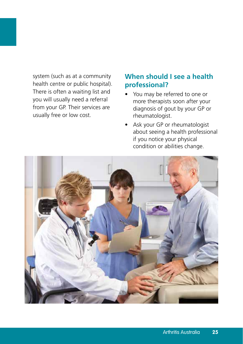system (such as at a community health centre or public hospital). There is often a waiting list and you will usually need a referral from your GP. Their services are usually free or low cost.

#### **When should I see a health professional?**

- You may be referred to one or more therapists soon after your diagnosis of gout by your GP or rheumatologist.
- Ask your GP or rheumatologist about seeing a health professional if you notice your physical condition or abilities change.

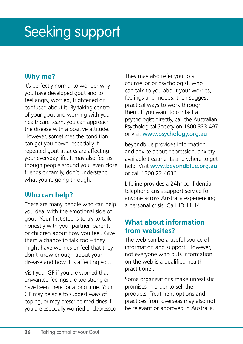# Seeking support

### **Why me?**

It's perfectly normal to wonder why you have developed gout and to feel angry, worried, frightened or confused about it. By taking control of your gout and working with your healthcare team, you can approach the disease with a positive attitude. However, sometimes the condition can get you down, especially if repeated gout attacks are affecting your everyday life. It may also feel as though people around you, even close friends or family, don't understand what you're going through.

### **Who can help?**

There are many people who can help you deal with the emotional side of gout. Your first step is to try to talk honestly with your partner, parents or children about how you feel. Give them a chance to talk too – they might have worries or feel that they don't know enough about your disease and how it is affecting you.

Visit your GP if you are worried that unwanted feelings are too strong or have been there for a long time. Your GP may be able to suggest ways of coping, or may prescribe medicines if you are especially worried or depressed. They may also refer you to a counsellor or psychologist, who can talk to you about your worries, feelings and moods, then suggest practical ways to work through them. If you want to contact a psychologist directly, call the Australian Psychological Society on 1800 333 497 or visit www.psychology.org.au

beyondblue provides information and advice about depression, anxiety, available treatments and where to get help. Visit www.beyondblue.org.au or call 1300 22 4636.

Lifeline provides a 24hr confidential telephone crisis support service for anyone across Australia experiencing a personal crisis. Call 13 11 14.

#### **What about information from websites?**

The web can be a useful source of information and support. However, not everyone who puts information on the web is a qualified health practitioner.

Some organisations make unrealistic promises in order to sell their products. Treatment options and practices from overseas may also not be relevant or approved in Australia.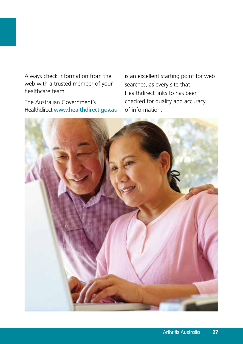Always check information from the web with a trusted member of your healthcare team.

The Australian Government's Healthdirect www.healthdirect.gov.au is an excellent starting point for web searches, as every site that Healthdirect links to has been checked for quality and accuracy of information.

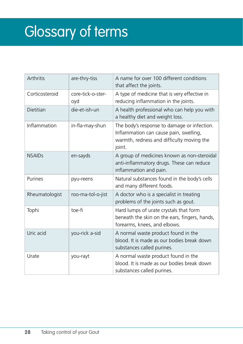# Glossary of terms

| Arthritis      | are-thry-tiss            | A name for over 100 different conditions<br>that affect the joints.                                                                          |
|----------------|--------------------------|----------------------------------------------------------------------------------------------------------------------------------------------|
| Corticosteroid | core-tick-o-ster-<br>oyd | A type of medicine that is very effective in<br>reducing inflammation in the joints.                                                         |
| Dietitian      | die-et-ish-un            | A health professional who can help you with<br>a healthy diet and weight loss.                                                               |
| Inflammation   | in-fla-may-shun          | The body's response to damage or infection.<br>Inflammation can cause pain, swelling,<br>warmth, redness and difficulty moving the<br>joint. |
| <b>NSAIDs</b>  | en-sayds                 | A group of medicines known as non-steroidal<br>anti-inflammatory drugs. These can reduce<br>inflammation and pain.                           |
| Purines        | pyu-reens                | Natural substances found in the body's cells<br>and many different foods.                                                                    |
| Rheumatologist | roo-ma-tol-o-jist        | A doctor who is a specialist in treating<br>problems of the joints such as gout.                                                             |
| Tophi          | toe-fi                   | Hard lumps of urate crystals that form<br>beneath the skin on the ears, fingers, hands,<br>forearms, knees, and elbows.                      |
| Uric acid      | you-rick a-sid           | A normal waste product found in the<br>blood. It is made as our bodies break down<br>substances called purines.                              |
| Urate          | you-rayt                 | A normal waste product found in the<br>blood. It is made as our bodies break down<br>substances called purines.                              |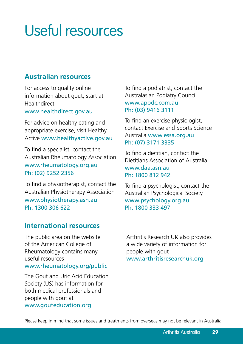# Useful resources

### **Australian resources**

For access to quality online information about gout, start at **Healthdirect** www.healthdirect.gov.au

For advice on healthy eating and appropriate exercise, visit Healthy Active www.healthyactive.gov.au

To find a specialist, contact the Australian Rheumatology Association www.rheumatology.org.au Ph: (02) 9252 2356

To find a physiotherapist, contact the Australian Physiotherapy Association www.physiotherapy.asn.au Ph: 1300 306 622

To find a podiatrist, contact the Australasian Podiatry Council www.apodc.com.au Ph: (03) 9416 3111

To find an exercise physiologist, contact Exercise and Sports Science Australia www.essa.org.au Ph: (07) 3171 3335

To find a dietitian, contact the Dietitians Association of Australia www.daa.asn.au Ph: 1800 812 942

To find a psychologist, contact the Australian Psychological Society www.psychology.org.au Ph: 1800 333 497

#### **International resources**

The public area on the website of the American College of Rheumatology contains many useful resources www.rheumatology.org/public

The Gout and Uric Acid Education Society (US) has information for both medical professionals and people with gout at www.gouteducation.org

Arthritis Research UK also provides a wide variety of information for people with gout www.arthritisresearchuk.org

Please keep in mind that some issues and treatments from overseas may not be relevant in Australia.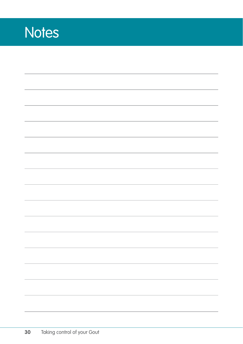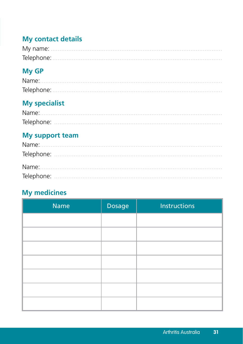## **My contact details**

## My GP

## **My specialist**

### **My support team**

## **My medicines**

| <b>Name</b> | Dosage | <b>Instructions</b> |
|-------------|--------|---------------------|
|             |        |                     |
|             |        |                     |
|             |        |                     |
|             |        |                     |
|             |        |                     |
|             |        |                     |
|             |        |                     |